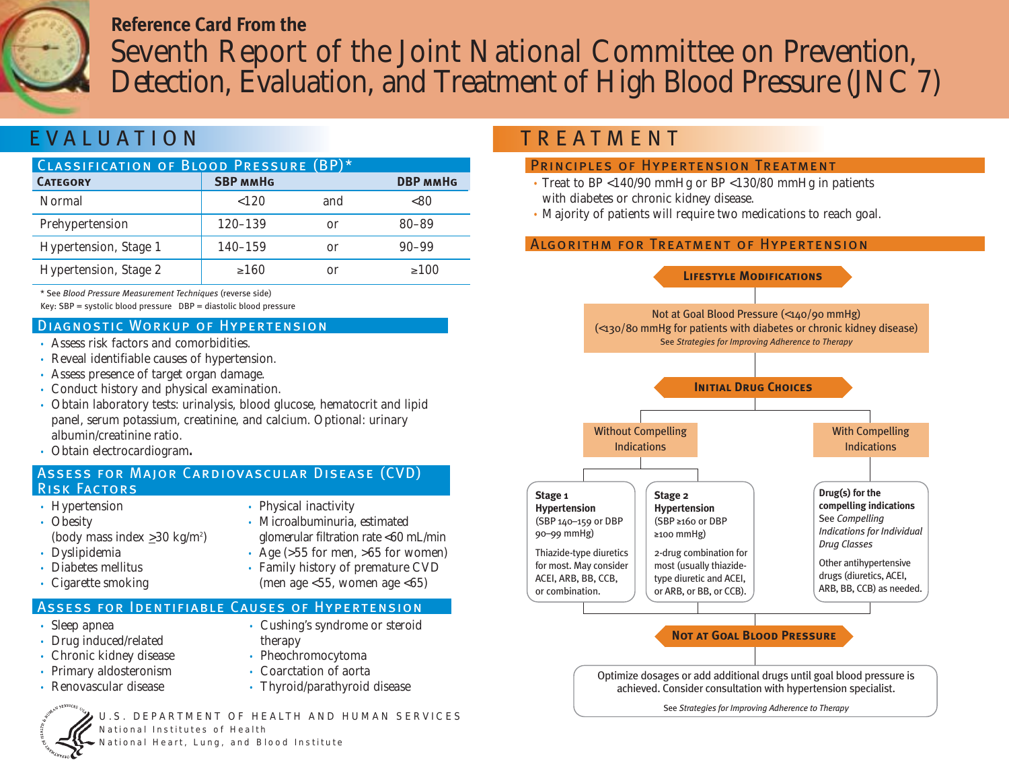# **Reference Card From the**  Seventh Report of the Joint National Committee on Prevention, Detection, Evaluation, and Treatment of High Blood Pressure (JNC 7)

# EVALUATION

| CLASSIFICATION OF BLOOD PRESSURE (BP)* |                 |     |                 |  |
|----------------------------------------|-----------------|-----|-----------------|--|
| <b>CATEGORY</b>                        | <b>SBP MMHG</b> |     | <b>DBP MMHG</b> |  |
| Normal                                 | ${120}$         | and | <80             |  |
| Prehypertension                        | 120-139         | or  | $80 - 89$       |  |
| Hypertension, Stage 1                  | $140 - 159$     | or  | $90 - 99$       |  |
| Hypertension, Stage 2                  | $\geq 160$      | or  | >100            |  |

\* See *Blood Pressure Measurement Techniques* (reverse side)

Key: SBP = systolic blood pressure DBP = diastolic blood pressure

#### Diagnostic Workup of Hypertension

- Assess risk factors and comorbidities.
- Reveal identifiable causes of hypertension.
- Assess presence of target organ damage.
- Conduct history and physical examination.
- Obtain laboratory tests: urinalysis, blood glucose, hematocrit and lipid panel, serum potassium, creatinine, and calcium. Optional: urinary albumin/creatinine ratio.
- Obtain electrocardiogram**.**

### Assess for Major Cardiovascular Disease (CVD) Risk Factors

- Hypertension
- Obesity (body mass index  $\geq$ 30 kg/m<sup>2</sup>)
- Dyslipidemia
- Diabetes mellitus
- Cigarette smoking

#### • Physical inactivity • Microalbuminuria, estimated

- glomerular filtration rate <60 mL/min
- Age  $(555$  for men,  $>65$  for women) • Family history of premature CVD

• Cushing's syndrome or steroid

(men age  $\langle 55,$  women age  $\langle 65 \rangle$ 

therapy

### Assess for Identifiable Causes of Hypertension

- Sleep apnea
- Drug induced/related
- Chronic kidney disease
- Primary aldosteronism • Renovascular disease
- Coarctation of aorta

• Pheochromocytoma

• Thyroid/parathyroid disease

U.S. DEPARTMENT OF HEALTH AND HUMAN SERVICES National Institutes of Health ational Heart, Lung, and Blood Institute

# **TREATMENT**

### PRINCIPLES OF HYPERTENSION TREATMENT

- Treat to BP <140/90 mmHg or BP <130/80 mmHg in patients with diabetes or chronic kidney disease.
- Majority of patients will require two medications to reach goal.

## Algorithm for Treatment of Hypertension